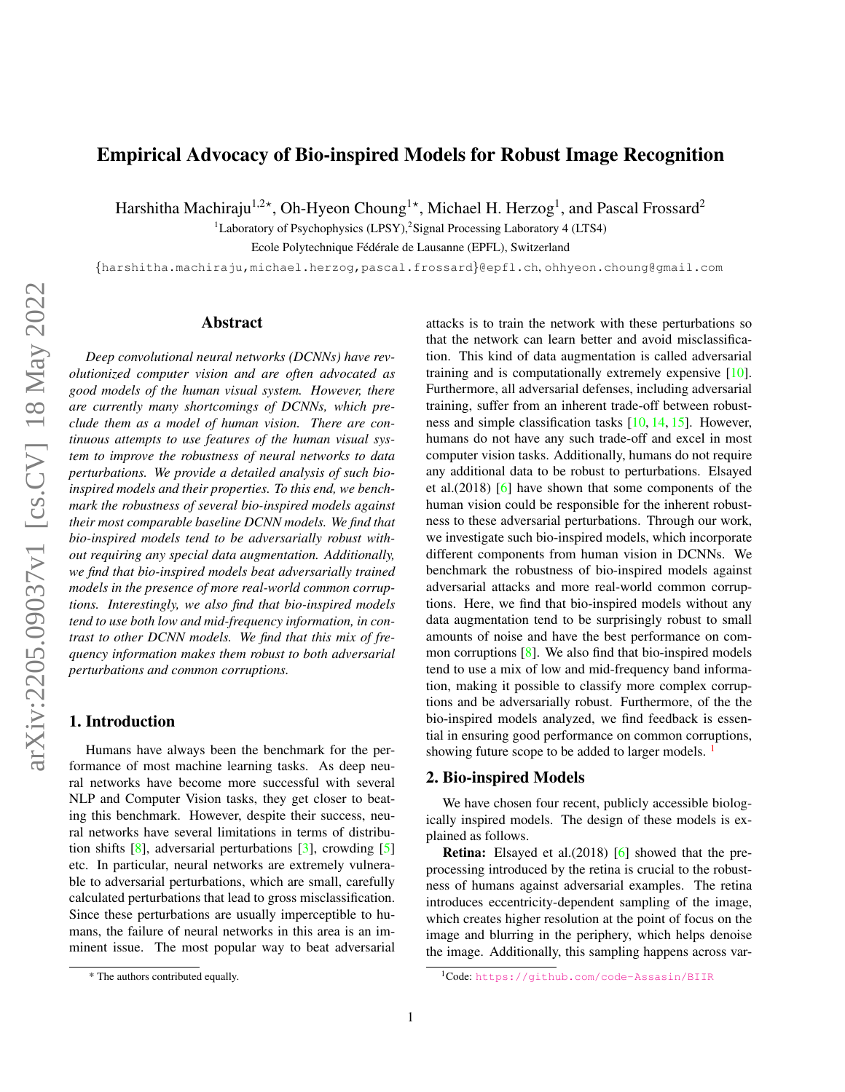# <span id="page-0-2"></span>Empirical Advocacy of Bio-inspired Models for Robust Image Recognition

Harshitha Machiraju $^{1,2\star}$ , Oh-Hyeon Choung $^{1\star}$ , Michael H. Herzog $^1$ , and Pascal Frossard $^2$ 

<sup>1</sup>Laboratory of Psychophysics (LPSY),<sup>2</sup>Signal Processing Laboratory 4 (LTS4)

Ecole Polytechnique Fédérale de Lausanne (EPFL), Switzerland

{harshitha.machiraju,michael.herzog,pascal.frossard}@epfl.ch, ohhyeon.choung@gmail.com

### Abstract

*Deep convolutional neural networks (DCNNs) have revolutionized computer vision and are often advocated as good models of the human visual system. However, there are currently many shortcomings of DCNNs, which preclude them as a model of human vision. There are continuous attempts to use features of the human visual system to improve the robustness of neural networks to data perturbations. We provide a detailed analysis of such bioinspired models and their properties. To this end, we benchmark the robustness of several bio-inspired models against their most comparable baseline DCNN models. We find that bio-inspired models tend to be adversarially robust without requiring any special data augmentation. Additionally, we find that bio-inspired models beat adversarially trained models in the presence of more real-world common corruptions. Interestingly, we also find that bio-inspired models tend to use both low and mid-frequency information, in contrast to other DCNN models. We find that this mix of frequency information makes them robust to both adversarial perturbations and common corruptions.*

# 1. Introduction

Humans have always been the benchmark for the performance of most machine learning tasks. As deep neural networks have become more successful with several NLP and Computer Vision tasks, they get closer to beating this benchmark. However, despite their success, neural networks have several limitations in terms of distribution shifts  $[8]$ , adversarial perturbations  $[3]$ , crowding  $[5]$ etc. In particular, neural networks are extremely vulnerable to adversarial perturbations, which are small, carefully calculated perturbations that lead to gross misclassification. Since these perturbations are usually imperceptible to humans, the failure of neural networks in this area is an imminent issue. The most popular way to beat adversarial attacks is to train the network with these perturbations so that the network can learn better and avoid misclassification. This kind of data augmentation is called adversarial training and is computationally extremely expensive [\[10\]](#page-3-2). Furthermore, all adversarial defenses, including adversarial training, suffer from an inherent trade-off between robustness and simple classification tasks [\[10,](#page-3-2) [14,](#page-3-3) [15\]](#page-3-4). However, humans do not have any such trade-off and excel in most computer vision tasks. Additionally, humans do not require any additional data to be robust to perturbations. Elsayed et al.(2018) [\[6\]](#page-3-5) have shown that some components of the human vision could be responsible for the inherent robustness to these adversarial perturbations. Through our work, we investigate such bio-inspired models, which incorporate different components from human vision in DCNNs. We benchmark the robustness of bio-inspired models against adversarial attacks and more real-world common corruptions. Here, we find that bio-inspired models without any data augmentation tend to be surprisingly robust to small amounts of noise and have the best performance on common corruptions  $[8]$ . We also find that bio-inspired models tend to use a mix of low and mid-frequency band information, making it possible to classify more complex corruptions and be adversarially robust. Furthermore, of the the bio-inspired models analyzed, we find feedback is essential in ensuring good performance on common corruptions, showing future scope to be added to larger models.  $\frac{1}{1}$  $\frac{1}{1}$  $\frac{1}{1}$ 

#### <span id="page-0-1"></span>2. Bio-inspired Models

We have chosen four recent, publicly accessible biologically inspired models. The design of these models is explained as follows.

Retina: Elsayed et al.(2018) [\[6\]](#page-3-5) showed that the preprocessing introduced by the retina is crucial to the robustness of humans against adversarial examples. The retina introduces eccentricity-dependent sampling of the image, which creates higher resolution at the point of focus on the image and blurring in the periphery, which helps denoise the image. Additionally, this sampling happens across var-

<sup>\*</sup> The authors contributed equally.

<span id="page-0-0"></span><sup>&</sup>lt;sup>1</sup>Code: <https://github.com/code-Assasin/BIIR>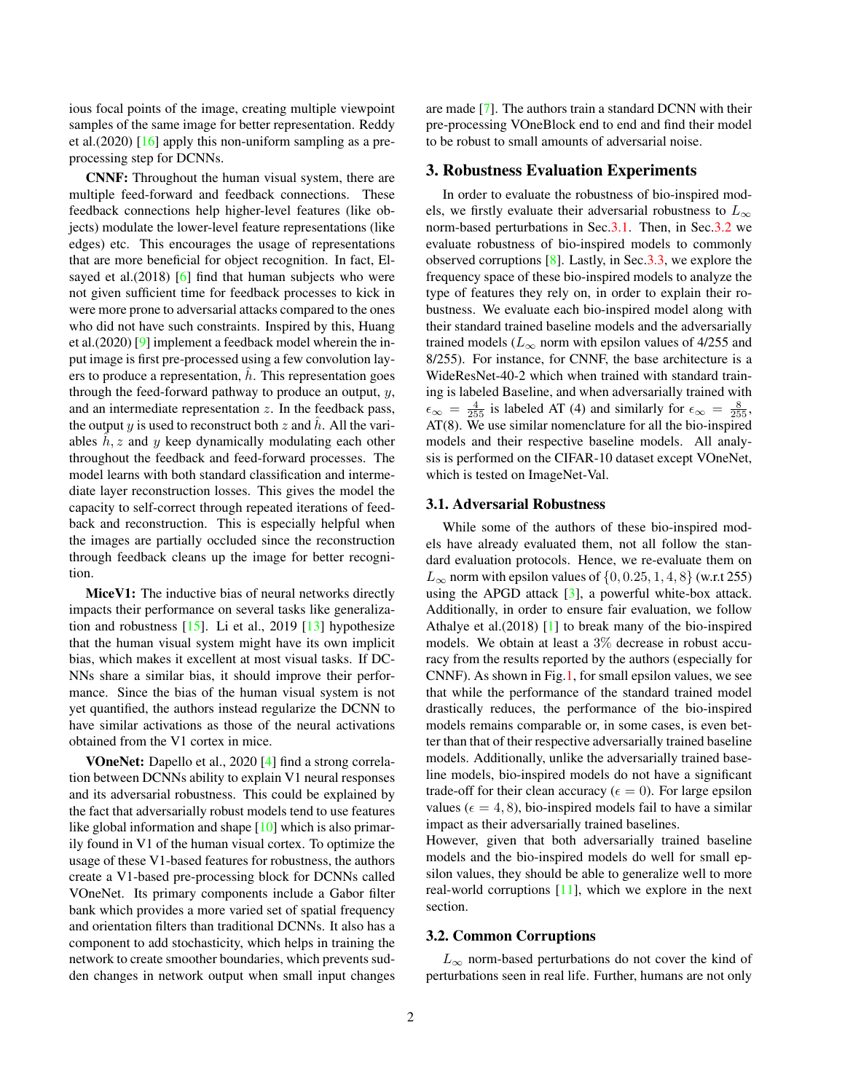<span id="page-1-2"></span>ious focal points of the image, creating multiple viewpoint samples of the same image for better representation. Reddy et al.(2020)  $[16]$  apply this non-uniform sampling as a preprocessing step for DCNNs.

CNNF: Throughout the human visual system, there are multiple feed-forward and feedback connections. These feedback connections help higher-level features (like objects) modulate the lower-level feature representations (like edges) etc. This encourages the usage of representations that are more beneficial for object recognition. In fact, El-sayed et al. (2018) [\[6\]](#page-3-5) find that human subjects who were not given sufficient time for feedback processes to kick in were more prone to adversarial attacks compared to the ones who did not have such constraints. Inspired by this, Huang et al.(2020) [\[9\]](#page-3-7) implement a feedback model wherein the input image is first pre-processed using a few convolution layers to produce a representation,  $h$ . This representation goes through the feed-forward pathway to produce an output,  $y$ , and an intermediate representation  $z$ . In the feedback pass, the output y is used to reconstruct both z and h. All the variables  $h, z$  and y keep dynamically modulating each other throughout the feedback and feed-forward processes. The model learns with both standard classification and intermediate layer reconstruction losses. This gives the model the capacity to self-correct through repeated iterations of feedback and reconstruction. This is especially helpful when the images are partially occluded since the reconstruction through feedback cleans up the image for better recognition.

MiceV1: The inductive bias of neural networks directly impacts their performance on several tasks like generalization and robustness  $[15]$ . Li et al., 2019  $[13]$  hypothesize that the human visual system might have its own implicit bias, which makes it excellent at most visual tasks. If DC-NNs share a similar bias, it should improve their performance. Since the bias of the human visual system is not yet quantified, the authors instead regularize the DCNN to have similar activations as those of the neural activations obtained from the V1 cortex in mice.

VOneNet: Dapello et al., 2020 [\[4\]](#page-3-9) find a strong correlation between DCNNs ability to explain V1 neural responses and its adversarial robustness. This could be explained by the fact that adversarially robust models tend to use features like global information and shape  $[10]$  which is also primarily found in V1 of the human visual cortex. To optimize the usage of these V1-based features for robustness, the authors create a V1-based pre-processing block for DCNNs called VOneNet. Its primary components include a Gabor filter bank which provides a more varied set of spatial frequency and orientation filters than traditional DCNNs. It also has a component to add stochasticity, which helps in training the network to create smoother boundaries, which prevents sudden changes in network output when small input changes are made [\[7\]](#page-3-10). The authors train a standard DCNN with their pre-processing VOneBlock end to end and find their model to be robust to small amounts of adversarial noise.

#### 3. Robustness Evaluation Experiments

In order to evaluate the robustness of bio-inspired models, we firstly evaluate their adversarial robustness to  $L_{\infty}$ norm-based perturbations in Sec[.3.1.](#page-1-0) Then, in Sec[.3.2](#page-1-1) we evaluate robustness of bio-inspired models to commonly observed corruptions [\[8\]](#page-3-0). Lastly, in Sec[.3.3,](#page-2-1) we explore the frequency space of these bio-inspired models to analyze the type of features they rely on, in order to explain their robustness. We evaluate each bio-inspired model along with their standard trained baseline models and the adversarially trained models ( $L_{\infty}$  norm with epsilon values of 4/255 and 8/255). For instance, for CNNF, the base architecture is a WideResNet-40-2 which when trained with standard training is labeled Baseline, and when adversarially trained with  $\epsilon_{\infty} = \frac{4}{255}$  is labeled AT (4) and similarly for  $\epsilon_{\infty} = \frac{8}{255}$ , AT(8). We use similar nomenclature for all the bio-inspired models and their respective baseline models. All analysis is performed on the CIFAR-10 dataset except VOneNet, which is tested on ImageNet-Val.

#### <span id="page-1-0"></span>3.1. Adversarial Robustness

While some of the authors of these bio-inspired models have already evaluated them, not all follow the standard evaluation protocols. Hence, we re-evaluate them on  $L_{\infty}$  norm with epsilon values of  $\{0, 0.25, 1, 4, 8\}$  (w.r.t 255) using the APGD attack  $[3]$ , a powerful white-box attack. Additionally, in order to ensure fair evaluation, we follow Athalye et al.(2018) [\[1\]](#page-2-2) to break many of the bio-inspired models. We obtain at least a 3% decrease in robust accuracy from the results reported by the authors (especially for CNNF). As shown in Fig[.1,](#page-2-3) for small epsilon values, we see that while the performance of the standard trained model drastically reduces, the performance of the bio-inspired models remains comparable or, in some cases, is even better than that of their respective adversarially trained baseline models. Additionally, unlike the adversarially trained baseline models, bio-inspired models do not have a significant trade-off for their clean accuracy ( $\epsilon = 0$ ). For large epsilon values ( $\epsilon = 4, 8$ ), bio-inspired models fail to have a similar impact as their adversarially trained baselines.

However, given that both adversarially trained baseline models and the bio-inspired models do well for small epsilon values, they should be able to generalize well to more real-world corruptions [\[11\]](#page-3-11), which we explore in the next section.

#### <span id="page-1-1"></span>3.2. Common Corruptions

 $L_{\infty}$  norm-based perturbations do not cover the kind of perturbations seen in real life. Further, humans are not only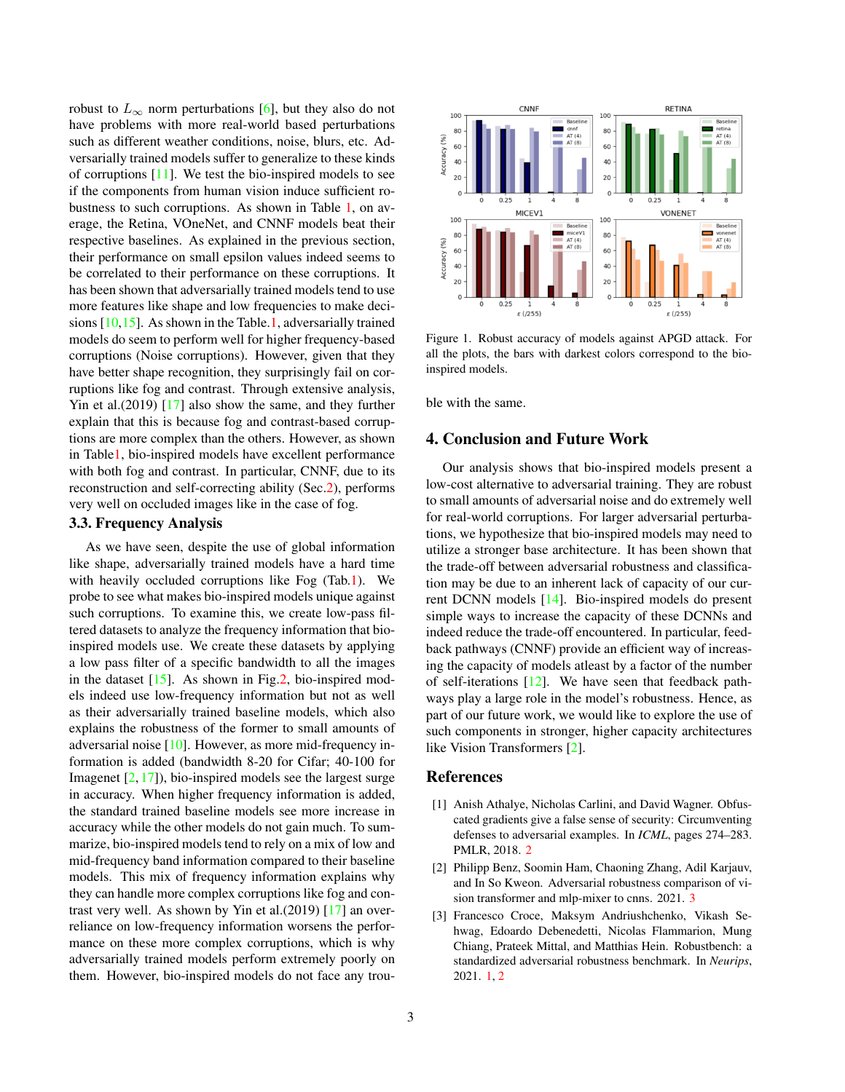<span id="page-2-5"></span>robust to  $L_{\infty}$  norm perturbations [\[6\]](#page-3-5), but they also do not have problems with more real-world based perturbations such as different weather conditions, noise, blurs, etc. Adversarially trained models suffer to generalize to these kinds of corruptions  $[11]$ . We test the bio-inspired models to see if the components from human vision induce sufficient robustness to such corruptions. As shown in Table [1,](#page-3-12) on average, the Retina, VOneNet, and CNNF models beat their respective baselines. As explained in the previous section, their performance on small epsilon values indeed seems to be correlated to their performance on these corruptions. It has been shown that adversarially trained models tend to use more features like shape and low frequencies to make decisions [\[10,](#page-3-2)[15\]](#page-3-4). As shown in the Table[.1,](#page-3-12) adversarially trained models do seem to perform well for higher frequency-based corruptions (Noise corruptions). However, given that they have better shape recognition, they surprisingly fail on corruptions like fog and contrast. Through extensive analysis, Yin et al.(2019) [\[17\]](#page-3-13) also show the same, and they further explain that this is because fog and contrast-based corruptions are more complex than the others. However, as shown in Tabl[e1,](#page-3-12) bio-inspired models have excellent performance with both fog and contrast. In particular, CNNF, due to its reconstruction and self-correcting ability (Sec[.2\)](#page-0-1), performs very well on occluded images like in the case of fog.

### <span id="page-2-1"></span>3.3. Frequency Analysis

As we have seen, despite the use of global information like shape, adversarially trained models have a hard time with heavily occluded corruptions like Fog (Tab[.1\)](#page-3-12). We probe to see what makes bio-inspired models unique against such corruptions. To examine this, we create low-pass filtered datasets to analyze the frequency information that bioinspired models use. We create these datasets by applying a low pass filter of a specific bandwidth to all the images in the dataset  $[15]$ . As shown in Fig[.2,](#page-3-14) bio-inspired models indeed use low-frequency information but not as well as their adversarially trained baseline models, which also explains the robustness of the former to small amounts of adversarial noise [\[10\]](#page-3-2). However, as more mid-frequency information is added (bandwidth 8-20 for Cifar; 40-100 for Imagenet  $[2, 17]$  $[2, 17]$  $[2, 17]$ , bio-inspired models see the largest surge in accuracy. When higher frequency information is added, the standard trained baseline models see more increase in accuracy while the other models do not gain much. To summarize, bio-inspired models tend to rely on a mix of low and mid-frequency band information compared to their baseline models. This mix of frequency information explains why they can handle more complex corruptions like fog and contrast very well. As shown by Yin et al.(2019) [\[17\]](#page-3-13) an overreliance on low-frequency information worsens the performance on these more complex corruptions, which is why adversarially trained models perform extremely poorly on them. However, bio-inspired models do not face any trou-

<span id="page-2-3"></span>

Figure 1. Robust accuracy of models against APGD attack. For all the plots, the bars with darkest colors correspond to the bioinspired models.

ble with the same.

# 4. Conclusion and Future Work

Our analysis shows that bio-inspired models present a low-cost alternative to adversarial training. They are robust to small amounts of adversarial noise and do extremely well for real-world corruptions. For larger adversarial perturbations, we hypothesize that bio-inspired models may need to utilize a stronger base architecture. It has been shown that the trade-off between adversarial robustness and classification may be due to an inherent lack of capacity of our current DCNN models [\[14\]](#page-3-3). Bio-inspired models do present simple ways to increase the capacity of these DCNNs and indeed reduce the trade-off encountered. In particular, feedback pathways (CNNF) provide an efficient way of increasing the capacity of models atleast by a factor of the number of self-iterations [\[12\]](#page-3-15). We have seen that feedback pathways play a large role in the model's robustness. Hence, as part of our future work, we would like to explore the use of such components in stronger, higher capacity architectures like Vision Transformers [\[2\]](#page-2-4).

#### References

- <span id="page-2-2"></span>[1] Anish Athalye, Nicholas Carlini, and David Wagner. Obfuscated gradients give a false sense of security: Circumventing defenses to adversarial examples. In *ICML*, pages 274–283. PMLR, 2018. [2](#page-1-2)
- <span id="page-2-4"></span>[2] Philipp Benz, Soomin Ham, Chaoning Zhang, Adil Karjauv, and In So Kweon. Adversarial robustness comparison of vision transformer and mlp-mixer to cnns. 2021. [3](#page-2-5)
- <span id="page-2-0"></span>[3] Francesco Croce, Maksym Andriushchenko, Vikash Sehwag, Edoardo Debenedetti, Nicolas Flammarion, Mung Chiang, Prateek Mittal, and Matthias Hein. Robustbench: a standardized adversarial robustness benchmark. In *Neurips*, 2021. [1,](#page-0-2) [2](#page-1-2)